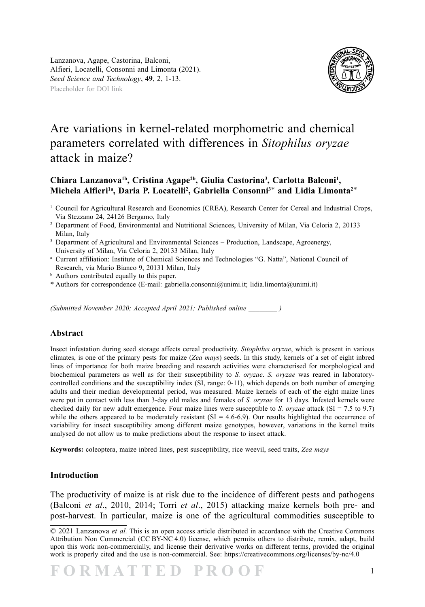

## Are variations in kernel-related morphometric and chemical parameters correlated with differences in *Sitophilus oryzae* attack in maize?

## Chiara Lanzanova<sup>1b</sup>, Cristina Agape<sup>2b</sup>, Giulia Castorina<sup>3</sup>, Carlotta Balconi<sup>1</sup>, **Michela Alfieri1a, Daria P. Locatelli2 , Gabriella Consonni3**\* **and Lidia Limonta2**\*

- <sup>1</sup> Council for Agricultural Research and Economics (CREA), Research Center for Cereal and Industrial Crops, Via Stezzano 24, 24126 Bergamo, Italy
- 2 Department of Food, Environmental and Nutritional Sciences, University of Milan, Via Celoria 2, 20133 Milan, Italy
- <sup>3</sup> Department of Agricultural and Environmental Sciences Production, Landscape, Agroenergy, University of Milan, Via Celoria 2, 20133 Milan, Italy
- <sup>a</sup> Current affiliation: Institute of Chemical Sciences and Technologies "G. Natta", National Council of Research, via Mario Bianco 9, 20131 Milan, Italy
- <sup>b</sup> Authors contributed equally to this paper.
- \* Authors for correspondence (E-mail: gabriella.consonni@unimi.it; lidia.limonta@unimi.it)

*(Submitted November 2020; Accepted April 2021; Published online \_\_\_\_\_\_\_\_ )*

## **Abstract**

Insect infestation during seed storage affects cereal productivity. *Sitophilus oryzae*, which is present in various climates, is one of the primary pests for maize (*Zea mays*) seeds. In this study, kernels of a set of eight inbred lines of importance for both maize breeding and research activities were characterised for morphological and biochemical parameters as well as for their susceptibility to *S. oryzae*. *S. oryzae* was reared in laboratorycontrolled conditions and the susceptibility index (SI, range: 0-11), which depends on both number of emerging adults and their median developmental period, was measured. Maize kernels of each of the eight maize lines were put in contact with less than 3-day old males and females of *S. oryzae* for 13 days. Infested kernels were checked daily for new adult emergence. Four maize lines were susceptible to *S. oryzae* attack (SI = 7.5 to 9.7) while the others appeared to be moderately resistant  $(SI = 4.6-6.9)$ . Our results highlighted the occurrence of variability for insect susceptibility among different maize genotypes, however, variations in the kernel traits analysed do not allow us to make predictions about the response to insect attack.

**Keywords:** coleoptera, maize inbred lines, pest susceptibility, rice weevil, seed traits, *Zea mays*

## **Introduction**

The productivity of maize is at risk due to the incidence of different pests and pathogens (Balconi *et al*., 2010, 2014; Torri *et al*., 2015) attacking maize kernels both pre- and post-harvest. In particular, maize is one of the agricultural commodities susceptible to

<sup>© 2021</sup> Lanzanova *et al.* This is an open access article distributed in accordance with the Creative Commons Attribution Non Commercial (CC BY-NC 4.0) license, which permits others to distribute, remix, adapt, build upon this work non-commercially, and license their derivative works on different terms, provided the original work is properly cited and the use is non-commercial. See: https://creativecommons.org/licenses/by-nc/4.0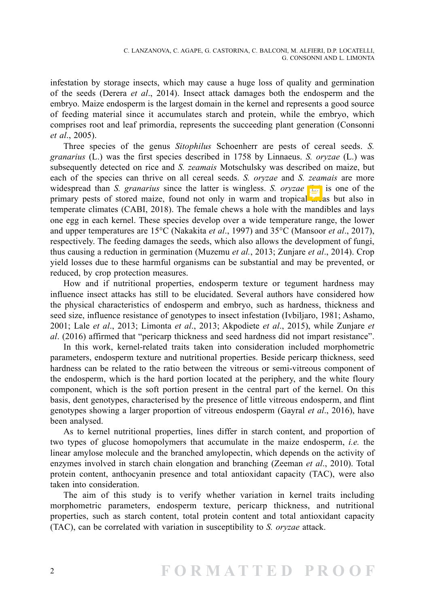infestation by storage insects, which may cause a huge loss of quality and germination of the seeds (Derera *et al*., 2014). Insect attack damages both the endosperm and the embryo. Maize endosperm is the largest domain in the kernel and represents a good source of feeding material since it accumulates starch and protein, while the embryo, which comprises root and leaf primordia, represents the succeeding plant generation (Consonni *et al*., 2005).

Three species of the genus *Sitophilus* Schoenherr are pests of cereal seeds. *S. granarius* (L.) was the first species described in 1758 by Linnaeus. *S. oryzae* (L.) was subsequently detected on rice and *S. zeamais* Motschulsky was described on maize, but each of the species can thrive on all cereal seeds. *S. oryzae* and *S. zeamais* are more widespread than *S. granarius* since the latter is wingless. *S. oryzae* (L.) is one of the primary pests of stored maize, found not only in warm and tropical  $\frac{d}{dx}$  as but also in temperate climates (CABI, 2018). The female chews a hole with the mandibles and lays one egg in each kernel. These species develop over a wide temperature range, the lower and upper temperatures are 15°C (Nakakita *et al*., 1997) and 35°C (Mansoor *et al*., 2017), respectively. The feeding damages the seeds, which also allows the development of fungi, thus causing a reduction in germination (Muzemu *et al.*, 2013; Zunjare *et al*., 2014). Crop yield losses due to these harmful organisms can be substantial and may be prevented, or reduced, by crop protection measures.

How and if nutritional properties, endosperm texture or tegument hardness may influence insect attacks has still to be elucidated. Several authors have considered how the physical characteristics of endosperm and embryo, such as hardness, thickness and seed size, influence resistance of genotypes to insect infestation (Ivbiljaro, 1981; Ashamo, 2001; Lale *et al*., 2013; Limonta *et al*., 2013; Akpodiete *et al*., 2015), while Zunjare *et al*. (2016) affirmed that "pericarp thickness and seed hardness did not impart resistance".

In this work, kernel-related traits taken into consideration included morphometric parameters, endosperm texture and nutritional properties. Beside pericarp thickness, seed hardness can be related to the ratio between the vitreous or semi-vitreous component of the endosperm, which is the hard portion located at the periphery, and the white floury component, which is the soft portion present in the central part of the kernel. On this basis, dent genotypes, characterised by the presence of little vitreous endosperm, and flint genotypes showing a larger proportion of vitreous endosperm (Gayral *et al*., 2016), have been analysed.

As to kernel nutritional properties, lines differ in starch content, and proportion of two types of glucose homopolymers that accumulate in the maize endosperm, *i.e.* the linear amylose molecule and the branched amylopectin, which depends on the activity of enzymes involved in starch chain elongation and branching (Zeeman *et al*., 2010). Total protein content, anthocyanin presence and total antioxidant capacity (TAC), were also taken into consideration.

The aim of this study is to verify whether variation in kernel traits including morphometric parameters, endosperm texture, pericarp thickness, and nutritional properties, such as starch content, total protein content and total antioxidant capacity (TAC), can be correlated with variation in susceptibility to *S. oryzae* attack.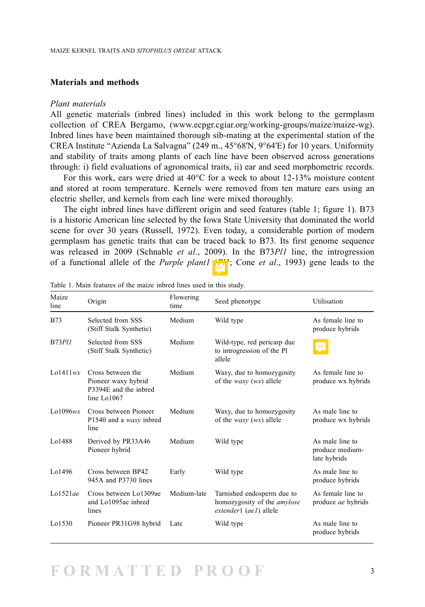## **Materials and methods**

#### *Plant materials*

All genetic materials (inbred lines) included in this work belong to the germplasm collection of CREA Bergamo, ([www.ecpgr.cgiar.org/working-groups/maize/maize-wg\)](http://www.ecpgr.cgiar.org/working-groups/maize). Inbred lines have been maintained thorough sib-mating at the experimental station of the CREA Institute "Azienda La Salvagna" (249 m., 45°68'N, 9°64'E) for 10 years. Uniformity and stability of traits among plants of each line have been observed across generations through: i) field evaluations of agronomical traits, ii) ear and seed morphometric records.

For this work, ears were dried at 40°C for a week to about 12-13% moisture content and stored at room temperature. Kernels were removed from ten mature ears using an electric sheller, and kernels from each line were mixed thoroughly.

The eight inbred lines have different origin and seed features (table 1; figure 1). B73 is a historic American line selected by the Iowa State University that dominated the world scene for over 30 years (Russell, 1972). Even today, a considerable portion of modern germplasm has genetic traits that can be traced back to B73. Its first genome sequence was released in 2009 (Schnable *et al*., 2009). In the B73*Pl1* line, the introgression of a functional allele of the *Purple plant1* (*Pl1*; Cone *et al*., 1993) gene leads to the

| Maize<br>line   | Origin                                                                           | Flowering<br>time | Seed phenotype                                                                             | Utilisation                                        |
|-----------------|----------------------------------------------------------------------------------|-------------------|--------------------------------------------------------------------------------------------|----------------------------------------------------|
| <b>B73</b>      | Selected from SSS<br>(Stiff Stalk Synthetic)                                     | Medium            | Wild type                                                                                  | As female line to<br>produce hybrids               |
| $B73$ $Pl1$     | Selected from SSS<br>(Stiff Stalk Synthetic)                                     | Medium            | Wild-type, red pericarp due<br>to introgression of the Pl<br>allele                        |                                                    |
| $L_0$ 1411 $wx$ | Cross between the<br>Pioneer waxy hybrid<br>P3394E and the inbred<br>line Lo1067 | Medium            | Waxy, due to homozygosity<br>of the <i>waxy</i> ( <i>wx</i> ) allele                       | As female line to<br>produce wx hybrids            |
| La1096wx        | Cross between Pioneer<br>P1540 and a waxy inbred<br>line                         | Medium            | Waxy, due to homozygosity<br>of the <i>waxy</i> $(wx)$ allele                              | As male line to<br>produce wx hybrids              |
| Lo1488          | Derived by PR33A46<br>Pioneer hybrid                                             | Medium            | Wild type                                                                                  | As male line to<br>produce medium-<br>late hybrids |
| Lo1496          | Cross between BP42<br>945A and P3730 lines                                       | Early             | Wild type                                                                                  | As male line to<br>produce hybrids                 |
| Lo1521ae        | Cross between Lo1309ae<br>and Lo1095ae inbred<br>lines                           | Medium-late       | Tarnished endosperm due to<br>homozygosity of the <i>amylose</i><br>extender1 (ae1) allele | As female line to<br>produce <i>ae</i> hybrids     |
| Lo1530          | Pioneer PR31G98 hybrid                                                           | Late              | Wild type                                                                                  | As male line to<br>produce hybrids                 |

Table 1. Main features of the maize inbred lines used in this study.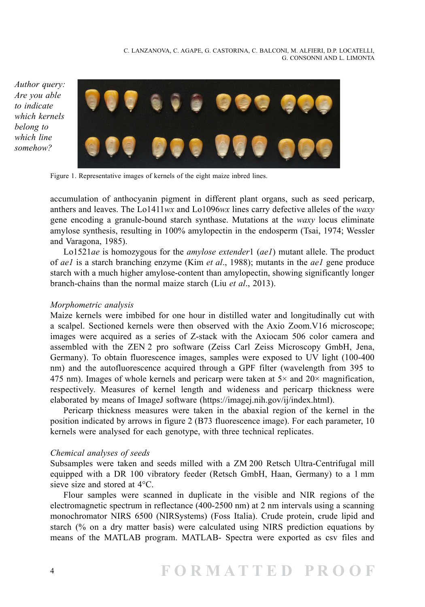C. LANZANOVA, C. AGAPE, G. CASTORINA, C. BALCONI, M. ALFIERI, D.P. LOCATELLI, G. CONSONNI AND L. LIMONTA

*Author query: Are you able to indicate which kernels belong to which line somehow?*



Figure 1. Representative images of kernels of the eight maize inbred lines.

accumulation of anthocyanin pigment in different plant organs, such as seed pericarp, anthers and leaves. The Lo1411*wx* and Lo1096*wx* lines carry defective alleles of the *waxy*  gene encoding a granule-bound starch synthase. Mutations at the *waxy* locus eliminate amylose synthesis, resulting in 100% amylopectin in the endosperm (Tsai, 1974; Wessler and Varagona, 1985).

Lo1521*ae* is homozygous for the *amylose extender*1 (*ae1*) mutant allele. The product of *ae1* is a starch branching enzyme (Kim *et al*., 1988); mutants in the *ae1* gene produce starch with a much higher amylose-content than amylopectin, showing significantly longer branch-chains than the normal maize starch (Liu *et al*., 2013).

## *Morphometric analysis*

Maize kernels were imbibed for one hour in distilled water and longitudinally cut with a scalpel. Sectioned kernels were then observed with the Axio Zoom.V16 microscope; images were acquired as a series of Z-stack with the Axiocam 506 color camera and assembled with the ZEN 2 pro software (Zeiss Carl Zeiss Microscopy GmbH, Jena, Germany). To obtain fluorescence images, samples were exposed to UV light (100-400 nm) and the autofluorescence acquired through a GPF filter (wavelength from 395 to 475 nm). Images of whole kernels and pericarp were taken at  $5\times$  and  $20\times$  magnification, respectively. Measures of kernel length and wideness and pericarp thickness were elaborated by means of ImageJ software ([https://imagej.nih.gov/ij/index.html\)](https://imagej.nih.gov/ij/index.html).

Pericarp thickness measures were taken in the abaxial region of the kernel in the position indicated by arrows in figure 2 (B73 fluorescence image). For each parameter, 10 kernels were analysed for each genotype, with three technical replicates.

## *Chemical analyses of seeds*

Subsamples were taken and seeds milled with a ZM 200 Retsch Ultra-Centrifugal mill equipped with a DR 100 vibratory feeder (Retsch GmbH, Haan, Germany) to a 1 mm sieve size and stored at 4°C.

Flour samples were scanned in duplicate in the visible and NIR regions of the electromagnetic spectrum in reflectance (400-2500 nm) at 2 nm intervals using a scanning monochromator NIRS 6500 (NIRSystems) (Foss Italia). Crude protein, crude lipid and starch (% on a dry matter basis) were calculated using NIRS prediction equations by means of the MATLAB program. MATLAB- Spectra were exported as csv files and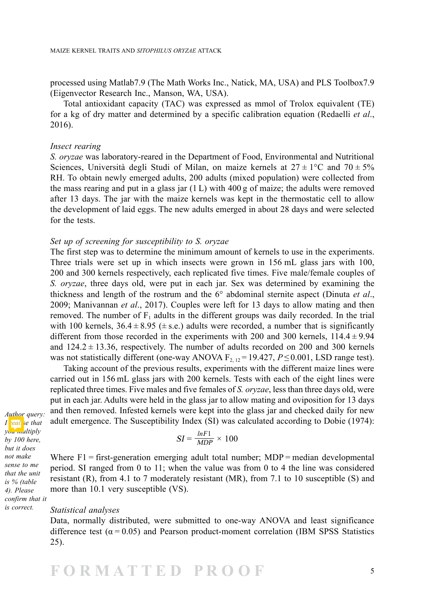processed using Matlab7.9 (The Math Works Inc., Natick, MA, USA) and PLS Toolbox7.9 (Eigenvector Research Inc., Manson, WA, USA).

Total antioxidant capacity (TAC) was expressed as mmol of Trolox equivalent (TE) for a kg of dry matter and determined by a specific calibration equation (Redaelli *et al*., 2016).

#### *Insect rearing*

*S. oryzae* was laboratory-reared in the Department of Food, Environmental and Nutritional Sciences, Università degli Studi of Milan, on maize kernels at  $27 \pm 1^{\circ}$ C and  $70 \pm 5\%$ RH. To obtain newly emerged adults, 200 adults (mixed population) were collected from the mass rearing and put in a glass jar  $(1 L)$  with 400 g of maize; the adults were removed after 13 days. The jar with the maize kernels was kept in the thermostatic cell to allow the development of laid eggs. The new adults emerged in about 28 days and were selected for the tests.

#### *Set up of screening for susceptibility to S. oryzae*

The first step was to determine the minimum amount of kernels to use in the experiments. Three trials were set up in which insects were grown in 156 mL glass jars with 100, 200 and 300 kernels respectively, each replicated five times. Five male/female couples of *S. oryzae*, three days old, were put in each jar. Sex was determined by examining the thickness and length of the rostrum and the 6° abdominal sternite aspect (Dinuta *et al*., 2009; Manivannan *et al*., 2017). Couples were left for 13 days to allow mating and then removed. The number of  $F_1$  adults in the different groups was daily recorded. In the trial with 100 kernels,  $36.4 \pm 8.95 \ (\pm \text{s.e.})$  adults were recorded, a number that is significantly different from those recorded in the experiments with 200 and 300 kernels,  $114.4 \pm 9.94$ and  $124.2 \pm 13.36$ , respectively. The number of adults recorded on 200 and 300 kernels was not statistically different (one-way ANOVA  $F_{2, 12} = 19.427$ ,  $P \le 0.001$ , LSD range test).

Taking account of the previous results, experiments with the different maize lines were carried out in 156 mL glass jars with 200 kernels. Tests with each of the eight lines were replicated three times. Five males and five females of *S. oryzae*, less than three days old, were put in each jar. Adults were held in the glass jar to allow mating and oviposition for 13 days and then removed. Infested kernels were kept into the glass jar and checked daily for new adult emergence. The Susceptibility Index (SI) was calculated according to Dobie (1974):

*Author query: I* reall se that *you multiply by 100 here, but it does not make sense to me that the unit is % (table 4). Please confirm that it is correct.*

$$
SI = \frac{lnF1}{MDP} \times 100
$$

Where  $F1 = first$ -generation emerging adult total number; MDP = median developmental period. SI ranged from 0 to 11; when the value was from 0 to 4 the line was considered resistant (R), from 4.1 to 7 moderately resistant (MR), from 7.1 to 10 susceptible (S) and more than 10.1 very susceptible (VS).

*Statistical analyses*

Data, normally distributed, were submitted to one-way ANOVA and least significance difference test ( $\alpha$  = 0.05) and Pearson product-moment correlation (IBM SPSS Statistics 25).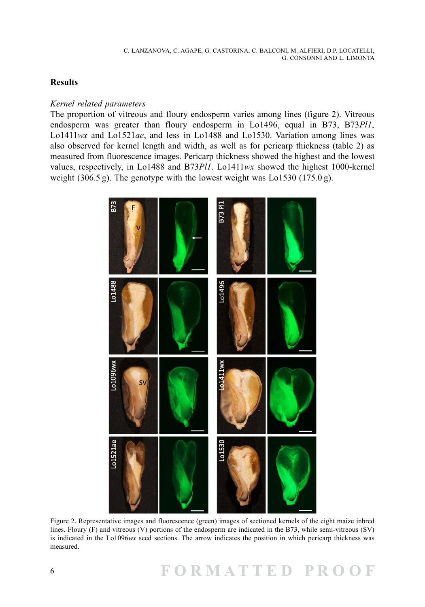## **Results**

#### *Kernel related parameters*

The proportion of vitreous and floury endosperm varies among lines (figure 2). Vitreous endosperm was greater than floury endosperm in Lo1496, equal in B73, B73*Pl1*, Lo1411*wx* and Lo1521*ae*, and less in Lo1488 and Lo1530. Variation among lines was also observed for kernel length and width, as well as for pericarp thickness (table 2) as measured from fluorescence images. Pericarp thickness showed the highest and the lowest values, respectively, in Lo1488 and B73*Pl1*. Lo1411*wx* showed the highest 1000-kernel weight (306.5 g). The genotype with the lowest weight was  $\text{L}_01530$  (175.0 g).



Figure 2. Representative images and fluorescence (green) images of sectioned kernels of the eight maize inbred lines. Floury (F) and vitreous (V) portions of the endosperm are indicated in the B73, while semi-vitreous (SV) is indicated in the Lo1096*wx* seed sections. The arrow indicates the position in which pericarp thickness was measured.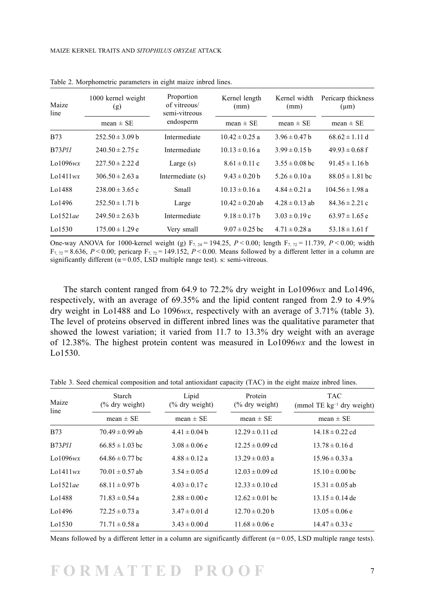| Maize<br>line   | 1000 kernel weight<br>(g) | Proportion<br>of vitreous/<br>semi-vitreous<br>endosperm | Kernel length<br>(mm) | Kernel width<br>(mm) | Pericarp thickness<br>$(\mu m)$ |
|-----------------|---------------------------|----------------------------------------------------------|-----------------------|----------------------|---------------------------------|
|                 | $mean \pm SE$             |                                                          | mean $\pm$ SE         | mean $\pm$ SE        | mean $\pm$ SE                   |
| <b>B73</b>      | $252.50 \pm 3.09$ b       | Intermediate                                             | $10.42 \pm 0.25$ a    | $3.96 \pm 0.47$ b    | $68.62 \pm 1.11$ d              |
| B73P11          | $240.50 \pm 2.75$ c       | Intermediate                                             | $10.13 \pm 0.16$ a    | $3.99 \pm 0.15$ b    | $49.93 \pm 0.68$ f              |
| Lo1096 $wx$     | $227.50 \pm 2.22$ d       | Large $(s)$                                              | $8.61 \pm 0.11$ c     | $3.55 \pm 0.08$ bc   | $91.45 \pm 1.16$ b              |
| $L_0$ 1411 $wx$ | $306.50 \pm 2.63$ a       | Intermediate (s)                                         | $9.43 \pm 0.20$ b     | $5.26 \pm 0.10$ a    | $88.05 \pm 1.81$ bc             |
| Lo1488          | $238.00 \pm 3.65$ c       | Small                                                    | $10.13 \pm 0.16$ a    | $4.84 \pm 0.21$ a    | $104.56 \pm 1.98$ a             |
| Lo1496          | $252.50 \pm 1.71$ b       | Large                                                    | $10.42 \pm 0.20$ ab   | $4.28 \pm 0.13$ ab   | $84.36 \pm 2.21$ c              |
| Lo $1521$ ae    | $249.50 \pm 2.63$ b       | Intermediate                                             | $9.18 \pm 0.17$ h     | $3.03 \pm 0.19$ c    | $63.97 \pm 1.65$ e              |
| Lo1530          | $175.00 \pm 1.29$ e       | Very small                                               | $9.07 \pm 0.25$ bc    | $4.71 \pm 0.28$ a    | 53.18 $\pm$ 1.61 f              |

Table 2. Morphometric parameters in eight maize inbred lines.

One-way ANOVA for 1000-kernel weight (g)  $F_{7, 24} = 194.25$ ,  $P < 0.00$ ; length  $F_{7, 22} = 11.739$ ,  $P < 0.00$ ; width  $F_{7,72} = 8.636$ ,  $P < 0.00$ ; pericarp  $F_{7,72} = 149.152$ ,  $P < 0.00$ . Means followed by a different letter in a column are significantly different ( $\alpha$  = 0.05, LSD multiple range test). s: semi-vitreous.

The starch content ranged from 64.9 to 72.2% dry weight in Lo1096*wx* and Lo1496, respectively, with an average of 69.35% and the lipid content ranged from 2.9 to 4.9% dry weight in Lo1488 and Lo 1096*wx*, respectively with an average of 3.71% (table 3). The level of proteins observed in different inbred lines was the qualitative parameter that showed the lowest variation; it varied from 11.7 to 13.3% dry weight with an average of 12.38%. The highest protein content was measured in Lo1096*wx* and the lowest in Lo1530.

| Maize<br>line   | Starch<br>$(\%$ dry weight) | Lipid<br>$(\%$ dry weight) | Protein<br>$(\%$ dry weight) | <b>TAC</b><br>(mmol TE $kg^{-1}$ dry weight) |  |
|-----------------|-----------------------------|----------------------------|------------------------------|----------------------------------------------|--|
|                 | mean $\pm$ SE               | mean $\pm$ SE              | mean $\pm$ SE                | mean $\pm$ SE                                |  |
| <b>B73</b>      | $70.49 \pm 0.99$ ab         | $4.41 \pm 0.04$ b          | $12.29 \pm 0.11$ cd          | $14.18 \pm 0.22$ cd                          |  |
| <b>B73Pl1</b>   | $66.85 \pm 1.03$ bc         | $3.08 \pm 0.06$ e          | $12.25 \pm 0.09$ cd          | $13.78 \pm 0.16$ d                           |  |
| Lo1096 $wx$     | $64.86 \pm 0.77$ bc         | $4.88 \pm 0.12$ a          | $13.29 \pm 0.03$ a           | $15.96 \pm 0.33$ a                           |  |
| $L_0$ 1411 $wx$ | $70.01 \pm 0.57$ ab         | $3.54 \pm 0.05$ d          | $12.03 \pm 0.09$ cd          | $15.10 \pm 0.00$ bc                          |  |
| Lo $1521$ ae    | $68.11 \pm 0.97$ b          | $4.03 \pm 0.17$ c          | $12.33 \pm 0.10$ cd          | $15.31 \pm 0.05$ ab                          |  |
| Lo1488          | $71.83 \pm 0.54$ a          | $2.88 \pm 0.00 e$          | $12.62 \pm 0.01$ bc          | $13.15 \pm 0.14$ de                          |  |
| Lo1496          | $72.25 \pm 0.73$ a          | $3.47 \pm 0.01$ d          | $12.70 \pm 0.20$ b           | $13.05 \pm 0.06$ e                           |  |
| Lo1530          | $71.71 \pm 0.58$ a          | $3.43 \pm 0.00$ d          | $11.68 \pm 0.06$ e           | $14.47 \pm 0.33$ c                           |  |

Table 3. Seed chemical composition and total antioxidant capacity (TAC) in the eight maize inbred lines.

Means followed by a different letter in a column are significantly different  $(\alpha = 0.05,$  LSD multiple range tests).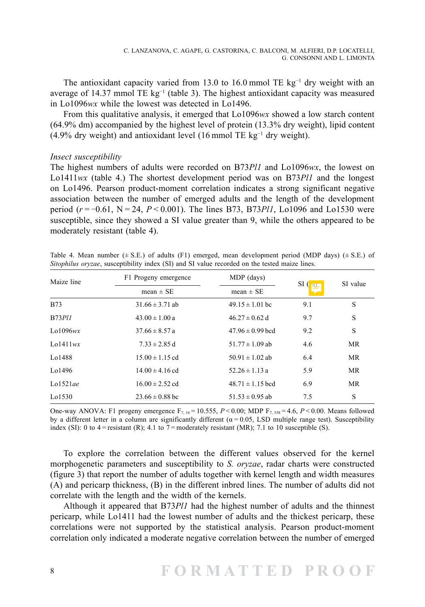The antioxidant capacity varied from 13.0 to 16.0 mmol TE kg<sup>-1</sup> dry weight with an average of 14.37 mmol TE  $kg^{-1}$  (table 3). The highest antioxidant capacity was measured in Lo1096*wx* while the lowest was detected in Lo1496.

From this qualitative analysis, it emerged that Lo1096*wx* showed a low starch content (64.9% dm) accompanied by the highest level of protein (13.3% dry weight), lipid content (4.9% dry weight) and antioxidant level (16 mmol TE  $kg^{-1}$  dry weight).

#### *Insect susceptibility*

The highest numbers of adults were recorded on B73*Pl1* and Lo1096*wx*, the lowest on Lo1411*wx* (table 4.) The shortest development period was on B73*Pl1* and the longest on Lo1496. Pearson product-moment correlation indicates a strong significant negative association between the number of emerged adults and the length of the development period (*r* = −0.61, N = 24, *P* < 0.001). The lines B73, B73*Pl1*, Lo1096 and Lo1530 were susceptible, since they showed a SI value greater than 9, while the others appeared to be moderately resistant (table 4).

| Maize line      | F1 Progeny emergence | MDP (days)           | SI( | SI value  |
|-----------------|----------------------|----------------------|-----|-----------|
|                 | mean $\pm$ SE        | mean $\pm$ SE        | 巴   |           |
| <b>B73</b>      | $31.66 \pm 3.71$ ab  | $49.15 \pm 1.01$ bc  | 9.1 | S         |
| <b>B73Pl1</b>   | $43.00 \pm 1.00 a$   | $46.27 \pm 0.62$ d   | 9.7 | S         |
| Lo $1096wx$     | $37.66 \pm 8.57 a$   | $47.96 \pm 0.99$ bcd | 9.2 | S         |
| $L_0$ 1411 $wx$ | $7.33 \pm 2.85$ d    | 51.77 $\pm$ 1.09 ab  | 4.6 | <b>MR</b> |
| Lo1488          | $15.00 \pm 1.15$ cd  | $50.91 \pm 1.02$ ab  | 6.4 | <b>MR</b> |
| Lo1496          | $14.00 \pm 4.16$ cd  | $52.26 \pm 1.13$ a   | 5.9 | <b>MR</b> |
| Lo $1521$ ae    | $16.00 \pm 2.52$ cd  | $48.71 \pm 1.15$ bcd | 6.9 | MR        |
| Lo1530          | $23.66 \pm 0.88$ bc  | $51.53 \pm 0.95$ ab  | 7.5 | S         |

Table 4. Mean number  $(\pm S.E.)$  of adults (F1) emerged, mean development period (MDP days)  $(\pm S.E.)$  of *Sitophilus oryzae*, susceptibility index (SI) and SI value recorded on the tested maize lines.

One-way ANOVA: F1 progeny emergence  $F_{7,16} = 10.555$ ,  $P < 0.00$ ; MDP  $F_{7,558} = 4.6$ ,  $P < 0.00$ . Means followed by a different letter in a column are significantly different ( $\alpha = 0.05$ , LSD multiple range test). Susceptibility index (SI): 0 to 4 = resistant (R); 4.1 to 7 = moderately resistant (MR); 7.1 to 10 susceptible (S).

To explore the correlation between the different values observed for the kernel morphogenetic parameters and susceptibility to *S. oryzae*, radar charts were constructed (figure 3) that report the number of adults together with kernel length and width measures (A) and pericarp thickness, (B) in the different inbred lines. The number of adults did not correlate with the length and the width of the kernels.

Although it appeared that B73*Pl1* had the highest number of adults and the thinnest pericarp, while Lo1411 had the lowest number of adults and the thickest pericarp, these correlations were not supported by the statistical analysis. Pearson product-moment correlation only indicated a moderate negative correlation between the number of emerged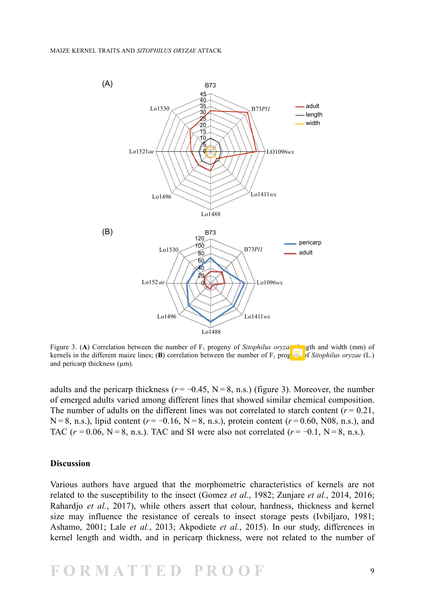

Figure 3. (**A**) Correlation between the number of  $F_1$  progeny of *Sitophilus oryza*, length and width (mm) of kernels in the different maize lines; (**B**) correlation between the number of  $F_1$  progents of *Sitophilus oryzae* (L.) and pericarp thickness (µm).

adults and the pericarp thickness ( $r = -0.45$ , N = 8, n.s.) (figure 3). Moreover, the number of emerged adults varied among different lines that showed similar chemical composition. The number of adults on the different lines was not correlated to starch content  $(r = 0.21)$ ,  $N = 8$ , n.s.), lipid content ( $r = -0.16$ ,  $N = 8$ , n.s.), protein content ( $r = 0.60$ , N08, n.s.), and TAC ( $r = 0.06$ , N = 8, n.s.). TAC and SI were also not correlated ( $r = -0.1$ , N = 8, n.s.).

#### **Discussion**

Various authors have argued that the morphometric characteristics of kernels are not related to the susceptibility to the insect (Gomez *et al.*, 1982; Zunjare *et al.*, 2014, 2016; Rahardjo *et al.*, 2017), while others assert that colour, hardness, thickness and kernel size may influence the resistance of cereals to insect storage pests (Ivbiljaro, 1981; Ashamo, 2001; Lale *et al.*, 2013; Akpodiete *et al.*, 2015). In our study, differences in kernel length and width, and in pericarp thickness, were not related to the number of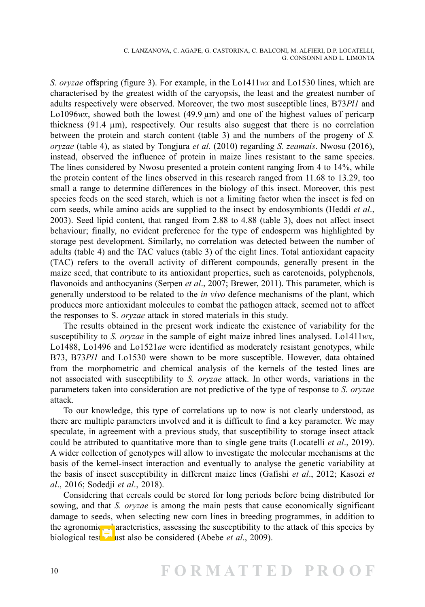*S. oryzae* offspring (figure 3). For example, in the Lo1411*wx* and Lo1530 lines, which are characterised by the greatest width of the caryopsis, the least and the greatest number of adults respectively were observed. Moreover, the two most susceptible lines, B73*Pl1* and Lo1096 $wx$ , showed both the lowest  $(49.9 \,\mu m)$  and one of the highest values of pericarp thickness (91.4 µm), respectively. Our results also suggest that there is no correlation between the protein and starch content (table 3) and the numbers of the progeny of *S. oryzae* (table 4), as stated by Tongjura *et al.* (2010) regarding *S. zeamais*. Nwosu (2016), instead, observed the influence of protein in maize lines resistant to the same species. The lines considered by Nwosu presented a protein content ranging from 4 to 14%, while the protein content of the lines observed in this research ranged from 11.68 to 13.29, too small a range to determine differences in the biology of this insect. Moreover, this pest species feeds on the seed starch, which is not a limiting factor when the insect is fed on corn seeds, while amino acids are supplied to the insect by endosymbionts (Heddi *et al*., 2003). Seed lipid content, that ranged from 2.88 to 4.88 (table 3), does not affect insect behaviour; finally, no evident preference for the type of endosperm was highlighted by storage pest development. Similarly, no correlation was detected between the number of adults (table 4) and the TAC values (table 3) of the eight lines. Total antioxidant capacity (TAC) refers to the overall activity of different compounds, generally present in the maize seed, that contribute to its antioxidant properties, such as carotenoids, polyphenols, flavonoids and anthocyanins (Serpen *et al*., 2007; Brewer, 2011). This parameter, which is generally understood to be related to the *in vivo* defence mechanisms of the plant, which produces more antioxidant molecules to combat the pathogen attack, seemed not to affect the responses to S. *oryzae* attack in stored materials in this study.

The results obtained in the present work indicate the existence of variability for the susceptibility to *S. oryzae* in the sample of eight maize inbred lines analysed. Lo1411*wx*, Lo1488, Lo1496 and Lo1521*ae* were identified as moderately resistant genotypes, while B73, B73*Pl1* and Lo1530 were shown to be more susceptible. However, data obtained from the morphometric and chemical analysis of the kernels of the tested lines are not associated with susceptibility to *S. oryzae* attack. In other words, variations in the parameters taken into consideration are not predictive of the type of response to *S. oryzae*  attack.

To our knowledge, this type of correlations up to now is not clearly understood, as there are multiple parameters involved and it is difficult to find a key parameter. We may speculate, in agreement with a previous study, that susceptibility to storage insect attack could be attributed to quantitative more than to single gene traits (Locatelli *et al*., 2019). A wider collection of genotypes will allow to investigate the molecular mechanisms at the basis of the kernel-insect interaction and eventually to analyse the genetic variability at the basis of insect susceptibility in different maize lines (Gafishi *et al*., 2012; Kasozi *et al*., 2016; Sodedji *et al*., 2018).

Considering that cereals could be stored for long periods before being distributed for sowing, and that *S. oryzae* is among the main pests that cause economically significant damage to seeds, when selecting new corn lines in breeding programmes, in addition to the agronomic, characteristics, assessing the susceptibility to the attack of this species by biological test must also be considered (Abebe *et al.*, 2009).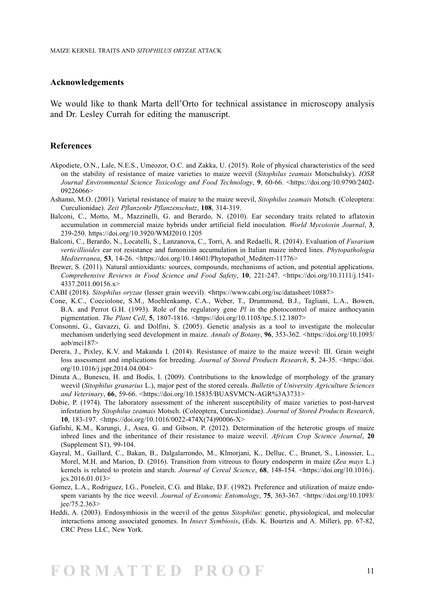#### **Acknowledgements**

We would like to thank Marta dell'Orto for technical assistance in microscopy analysis and Dr. Lesley Currah for editing the manuscript.

#### **References**

- Akpodiete, O.N., Lale, N.E.S., Umeozor, O.C. and Zakka, U. (2015). Role of physical characteristics of the seed on the stability of resistance of maize varieties to maize weevil (*Sitophilus zeamais* Motschulsky). *IOSR Journal Environmental Science Toxicology and Food Technology*, **9**, 60-66. [<https://doi.org/10.9790/2402-](https://www.researchgate.net/profile/Odidika-Umeozor/publication/314226148_Diptera_Arthropoda_Insecta_of_Potential_Importance_in_Human_and_Animal_Health_in_Bayelsa_State_Nigeria/links/58f506a9458515ff23b55dbd/Diptera-Arthropoda-Insecta-of-Potential-Importance-in-Human-and-Animal-Health-in-Bayelsa-State-Nigeria.pdf) [09226066](https://www.researchgate.net/profile/Odidika-Umeozor/publication/314226148_Diptera_Arthropoda_Insecta_of_Potential_Importance_in_Human_and_Animal_Health_in_Bayelsa_State_Nigeria/links/58f506a9458515ff23b55dbd/Diptera-Arthropoda-Insecta-of-Potential-Importance-in-Human-and-Animal-Health-in-Bayelsa-State-Nigeria.pdf)>
- Ashamo, M.O. (2001). Varietal resistance of maize to the maize weevil, *Sitophilus zeamais* Motsch. (Coleoptera: Curculionidae). *Zeit Pflanzenkr Pflanzenschutz*, **108**, 314-319.
- Balconi, C., Motto, M., Mazzinelli, G. and Berardo, N. (2010). Ear secondary traits related to aflatoxin accumulation in commercial maize hybrids under artificial field inoculation. *World Mycotoxin Journal*, **3**, 239-250. <https://doi.org/10.3920/WMJ2010.1205>
- Balconi, C., Berardo, N., Locatelli, S., Lanzanova, C., Torri, A. and Redaelli, R. (2014). Evaluation of *Fusarium verticillioides* ear rot resistance and fumonisin accumulation in Italian maize inbred lines. *Phytopathologia Mediterranea*, **53**, 14-26. <[https://doi.org/10.14601/Phytopathol\\_Mediterr-11776](https://doi.org/10.14601/Phytopathol_Mediterr-11776)>
- Brewer, S. (2011). Natural antioxidants: sources, compounds, mechanisms of action, and potential applications. *Comprehensive Reviews in Food Science and Food Safety*, **10**, 221-247. [<https://doi.org/10.1111/j.1541-](https://doi.org/10.1111/j.1541-4337.2011.00156.x) [4337.2011.00156.x](https://doi.org/10.1111/j.1541-4337.2011.00156.x)>
- CABI (2018). *Sitophilus oryzae* (lesser grain weevil). **<**<https://www.cabi.org/isc/datasheet/10887>>
- Cone, K.C., Cocciolone, S.M., Moehlenkamp, C.A., Weber, T., Drummond, B.J., Tagliani, L.A., Bowen, B.A. and Perrot G.H. (1993). Role of the regulatory gene *Pl* in the photocontrol of maize anthocyanin pigmentation. *The Plant Cell*, **5**, 1807-1816. <<https://doi.org/10.1105/tpc.5.12.1807>>
- Consonni, G., Gavazzi, G. and Dolfini, S. (2005). Genetic analysis as a tool to investigate the molecular mechanism underlying seed development in maize. *Annals of Botany*, **96**, 353-362. [<https://doi.org/10.1093/](https://doi.org/10.1093/aob/mci187) [aob/mci187](https://doi.org/10.1093/aob/mci187)>
- Derera, J., Pixley, K.V. and Makanda I. (2014). Resistance of maize to the maize weevil: III. Grain weight loss assessment and implications for breeding. *Journal of Stored Products Research*, **5**, 24-35. <[https://doi.](https://doi.org/10.1016/j.jspr.2014.04.004) [org/10.1016/j.jspr.2014.04.004>](https://doi.org/10.1016/j.jspr.2014.04.004)
- Dinuta A., Bunescu, H. and Bodis, I. (2009). Contributions to the knowledge of morphology of the granary weevil (*Sitophilus granarius* L.), major pest of the stored cereals. *Bulletin of University Agriculture Sciences and Veterinary*, **66**, 59-66. <[https://doi.org/10.15835/BUASVMCN-AGR%3A3731](https://journals.usamvcluj.ro/index.php/agriculture/article/view/3731/3459)>
- Dobie, P. (1974). The laboratory assessment of the inherent susceptibility of maize varieties to post-harvest infestation by *Sitophilus zeamais* Motsch. (Coleoptera, Curculionidae). *Journal of Stored Products Research*, **10**, 183-197. <[https://doi.org/10.1016/0022-474X\(74\)90006-X](https://doi.org/10.1016/0022-474X(74)90006-X)>
- Gafishi, K.M., Karungi, J., Asea, G. and Gibson, P. (2012). Determination of the heterotic groups of maize inbred lines and the inheritance of their resistance to maize weevil. *African Crop Science Journal*, **20** (Supplement S1), 99-104.
- Gayral, M., Gaillard, C., Bakan, B., Dalgalarrondo, M., Klmorjani, K., Delluc, C., Brunet, S., Linossier, L., Morel, M.H. and Marion, D. (2016). Transition from vitreous to floury endosperm in maize (*Zea mays* L.) kernels is related to protein and starch. *Journal of Cereal Science*, **68**, 148-154. <[https://doi.org/10.1016/j.](https://doi.org/10.1016/j.jcs.2016.01.013) [jcs.2016.01.013](https://doi.org/10.1016/j.jcs.2016.01.013)>
- Gomez, L.A., Rodriguez, I.G., Poneleit, C.G. and Blake, D.F. (1982). Preference and utilization of maize endospem variants by the rice weevil. *Journal of Economic Entomology*, **75**, 363-367. [<https://doi.org/10.1093/](https://doi.org/10.1093/jee/75.2.363) [jee/75.2.363](https://doi.org/10.1093/jee/75.2.363)>
- Heddi, A. (2003). Endosymbiosis in the weevil of the genus *Sitophilus*: genetic, physiological, and molecular interactions among associated genomes. In *Insect Symbiosis*, (Eds. K. Bourtzis and A. Miller), pp. 67-82, CRC Press LLC, New York.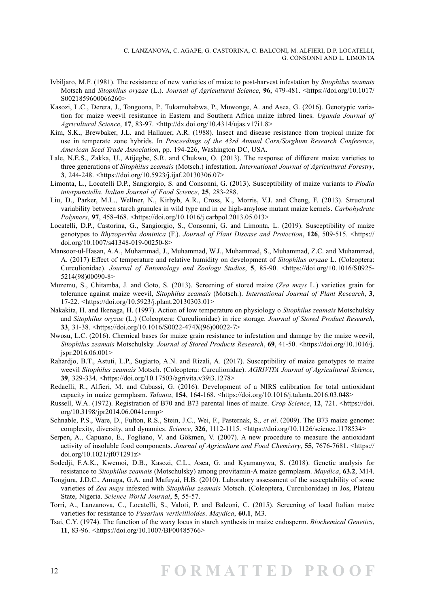- Ivbiljaro, M.F. (1981). The resistance of new varieties of maize to post-harvest infestation by *Sitophilus zeamais* Motsch and *Sitophilus oryzae* (L.). *Journal of Agricultural Science*, **96**, 479-481. [<https://doi.org/10.1017/](https://doi.org/10.1017/S0021859600066260) [S0021859600066260](https://doi.org/10.1017/S0021859600066260)>
- Kasozi, L.C., Derera, J., Tongoona, P., Tukamuhabwa, P., Muwonge, A. and Asea, G. (2016). Genotypic variation for maize weevil resistance in Eastern and Southern Africa maize inbred lines. *Uganda Journal of Agricultural Science*, **17**, 83-97. <<http://dx.doi.org/10.4314/ujas.v17i1.8>>
- Kim, S.K., Brewbaker, J.L. and Hallauer, A.R. (1988). Insect and disease resistance from tropical maize for use in temperate zone hybrids. In *Proceedings of the 43rd Annual Corn/Sorghum Research Conference*, *American Seed Trade Association*, pp. 194-226, Washington DC, USA.
- Lale, N.E.S., Zakka, U., Atijegbe, S.R. and Chukwu, O. (2013). The response of different maize varieties to three generations of *Sitophilus zeamais* (Motsch.) infestation. *International Journal of Agricultural Forestry*, **3**, 244-248. <[https://doi.org/10.5923/j.ijaf.20130306.07>](https://www.researchgate.net/profile/Sylvester-Atijegbe/publication/260341811_The_Response_of_Different_Maize_Varieties_to_Three_Generations_of_Sitophilus_zeamais_Motsch_Infestation/links/0deec530db9258a5aa000000/The-Response-of-Different-Maize-Varieties-to-Three-Generations-of-Sitophilus-zeamais-Motsch-Infestation.pdf)
- Limonta, L., Locatelli D.P., Sangiorgio, S. and Consonni, G. (2013). Susceptibility of maize variants to *Plodia interpunctella*. *Italian Journal of Food Science*, **25**, 283-288.
- Liu, D., Parker, M.L., Wellner, N., Kirbyb, A.R., Cross, K., Morris, V.J. and Cheng, F. (2013). Structural variability between starch granules in wild type and in *ae* high-amylose mutant maize kernels. *Carbohydrate Polymers*, **97**, 458-468. <<https://doi.org/10.1016/j.carbpol.2013.05.013>>
- Locatelli, D.P., Castorina, G., Sangiorgio, S., Consonni, G. and Limonta, L. (2019). Susceptibility of maize genotypes to *Rhyzopertha dominica* (F.). *Journal of Plant Disease and Protection*, **126**, 509-515. [<https://](https://doi.org/10.1007/s41348-019-00250-8) [doi.org/10.1007/s41348-019-00250-8>](https://doi.org/10.1007/s41348-019-00250-8)
- Mansoor-ul-Hasan, A.A., Muhammad, J., Muhammad, W.J., Muhammad, S., Muhammad, Z.C. and Muhammad, A. (2017) Effect of temperature and relative humidity on development of *Sitophilus oryzae* L. (Coleoptera: Curculionidae). *Journal of Entomology and Zoology Studies*, **5**, 85-90. <[https://doi.org/10.1016/S0925-](https://doi.org/10.1016/S0925-5214(98)00090-8) [5214\(98\)00090-8>](https://doi.org/10.1016/S0925-5214(98)00090-8)
- Muzemu, S., Chitamba, J. and Goto, S. (2013). Screening of stored maize (*Zea mays* L.) varieties grain for tolerance against maize weevil, *Sitophilus zeamais* (Motsch.). *International Journal of Plant Research*, **3**, 17-22. <[https://doi.org/10.5923/j.plant.20130303.01](mailto:zhanghaoscience@163.com)>
- Nakakita, H. and Ikenaga, H. (1997). Action of low temperature on physiology o *Sitophilus zeamais* Motschulsky and *Sitophilus oryzae* (L.) (Coleoptera: Curculionidae) in rice storage. *Journal of Stored Product Research*, **33**, 31-38. <[https://doi.org/10.1016/S0022-474X\(96\)00022-7>](https://doi.org/10.1016/S0022-474X(96)00022-7)
- Nwosu, L.C. (2016). Chemical bases for maize grain resistance to infestation and damage by the maize weevil, *Sitophilus zeamais* Motschulsky. *Journal of Stored Products Research*, **69**, 41-50. <[https://doi.org/10.1016/j.](https://doi.org/10.1016/j.jspr.2016.06.001) [jspr.2016.06.001](https://doi.org/10.1016/j.jspr.2016.06.001)>
- Rahardjo, B.T., Astuti, L.P., Sugiarto, A.N. and Rizali, A. (2017). Susceptibility of maize genotypes to maize weevil *Sitophilus zeamais* Motsch. (Coleoptera: Curculionidae). *AGRIVITA Journal of Agricultural Science*, **39**, 329-334. <[https://doi.org/10.17503/agrivita.v39i3.1278>](https://doi.org/10.17503/agrivita.v39i3.1278)
- Redaelli, R., Alfieri, M. and Cabassi, G. (2016). Development of a NIRS calibration for total antioxidant capacity in maize germplasm. *Talanta*, **154**, 164-168. [<https://doi.org/10.1016/j.talanta.2016.03.048](https://doi.org/10.1016/j.talanta.2016.03.048)>
- Russell, W.A. (1972). Registration of B70 and B73 parental lines of maize. *Crop Science*, **12**, 721. <[https://doi.](https://doi.org/10.3198/jpr2014.06.0041crmp) [org/10.3198/jpr2014.06.0041crmp>](https://doi.org/10.3198/jpr2014.06.0041crmp)
- Schnable, P.S., Ware, D., Fulton, R.S., Stein, J.C., Wei, F., Pasternak, S., *et al*. (2009). The B73 maize genome: complexity, diversity, and dynamics. *Science*, **326**, 1112-1115. <[https://doi.org/10.1126/science.1178534>](https://doi.org/10.1126/science.1178534)
- Serpen, A., Capuano, E., Fogliano, V. and Gökmen, V. (2007). A new procedure to measure the antioxidant activity of insoluble food components. *Journal of Agriculture and Food Chemistry*, **55**, 7676-7681. <[https://](https://doi.org/10.1021/jf071291z) [doi.org/10.1021/jf071291z>](https://doi.org/10.1021/jf071291z)
- Sodedji, F.A.K., Kwemoi, D.B., Kasozi, C.L., Asea, G. and Kyamanywa, S. (2018). Genetic analysis for resistance to *Sitophilus zeamais* (Motschulsky) among provitamin-A maize germplasm. *Maydica*, **63.2**, M14.
- Tongjura, J.D.C., Amuga, G.A. and Mafuyai, H.B. (2010). Laboratory assessment of the susceptability of some varieties of *Zea mays* infested with *Sitophilus zeamais* Motsch. (Coleoptera, Curculionidae) in Jos, Plateau State, Nigeria. *Science World Journal*, **5**, 55-57.
- Torri, A., Lanzanova, C., Locatelli, S., Valoti, P. and Balconi, C. (2015). Screening of local Italian maize varieties for resistance to *Fusarium verticillioides*. *Maydica*, **60.1**, M3.
- Tsai, C.Y. (1974). The function of the waxy locus in starch synthesis in maize endosperm. *Biochemical Genetics*, **11**, 83-96. [<https://doi.org/10.1007/BF00485766>](https://doi.org/10.1007/BF00485766)